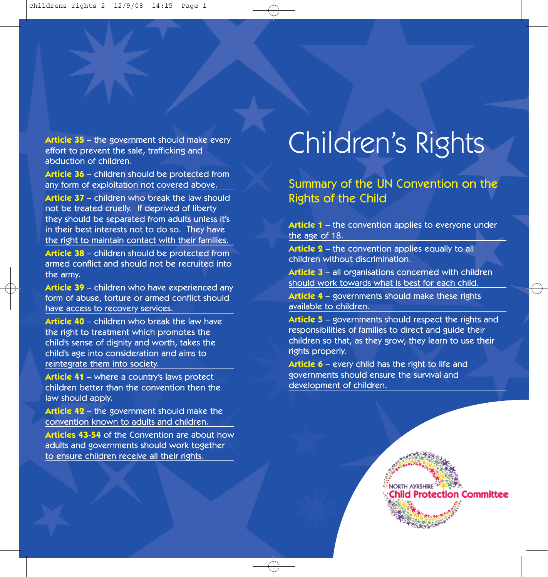effort to prevent the sale, trafficking and abduction of children.

**Article 36** – children should be protected from any form of exploitation not covered above.

**Article 37** – children who break the law should not be treated cruelly. If deprived of liberty they should be separated from adults unless it's in their best interests not to do so. They have the right to maintain contact with their families.

**Article 38** – children should be protected from armed conflict and should not be recruited into the army.

**Article 39** – children who have experienced any form of abuse, torture or armed conflict should have access to recovery services.

**Article 40** – children who break the law have the right to treatment which promotes the child's sense of dignity and worth, takes the child's age into consideration and aims to reintegrate them into society.

**Article 41** – where a country's laws protect children better than the convention then the law should apply.

**Article 42** – the government should make the convention known to adults and children.

**Articles 43-54** of the Convention are about how adults and governments should work together to ensure children receive all their rights.

## Article 35 – the government should make every<br>effort to prevent the sale, trafficking and

Summary of the UN Convention on the Rights of the Child

**Article 1** – the convention applies to everyone under the age of 18.

**Article 2** – the convention applies equally to all children without discrimination.

**Article 3** – all organisations concerned with children should work towards what is best for each child.

**Article 4** – governments should make these rights available to children.

**Article 5** – governments should respect the rights and responsibilities of families to direct and guide their children so that, as they grow, they learn to use their rights properly.

**Article 6** – every child has the right to life and governments should ensure the survival and development of children.